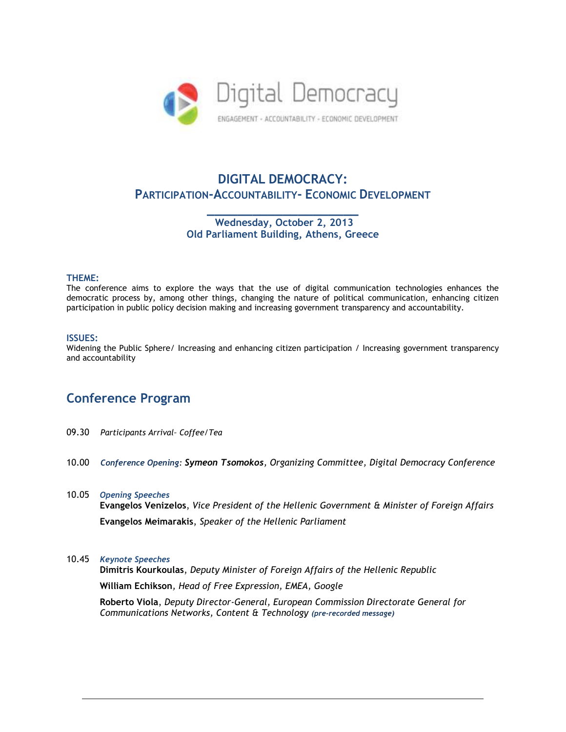

# **DIGITAL DEMOCRACY: PARTICIPATION-ACCOUNTABILITY- ECONOMIC DEVELOPMENT**

**\_\_\_\_\_\_\_\_\_\_\_\_\_\_\_\_\_\_\_\_ Wednesday, October 2, 2013 Old Parliament Building, Athens, Greece**

### **THEME:**

The conference aims to explore the ways that the use of digital communication technologies enhances the democratic process by, among other things, changing the nature of political communication, enhancing citizen participation in public policy decision making and increasing government transparency and accountability.

### **ISSUES:**

Widening the Public Sphere/ Increasing and enhancing citizen participation / Increasing government transparency and accountability

## **Conference Program**

- 09.30 *Participants Arrival– Coffee/Tea*
- 10.00 *Conference Opening: Symeon Tsomokos, Organizing Committee, Digital Democracy Conference*
- 10.05 *Opening Speeches*

**Evangelos Venizelos**, *Vice President of the Hellenic Government & Minister of Foreign Affairs* **Evangelos Meimarakis**, *Speaker of the Hellenic Parliament* 

### 10.45 *Keynote Speeches*

**Dimitris Kourkoulas**, *Deputy Minister of Foreign Affairs of the Hellenic Republic* **William Echikson***, Head of Free Expression, EMEA, Google* **Roberto Viola**, *Deputy Director-General, European Commission Directorate General for* 

 *Communications Networks, Content & Technology (pre-recorded message)*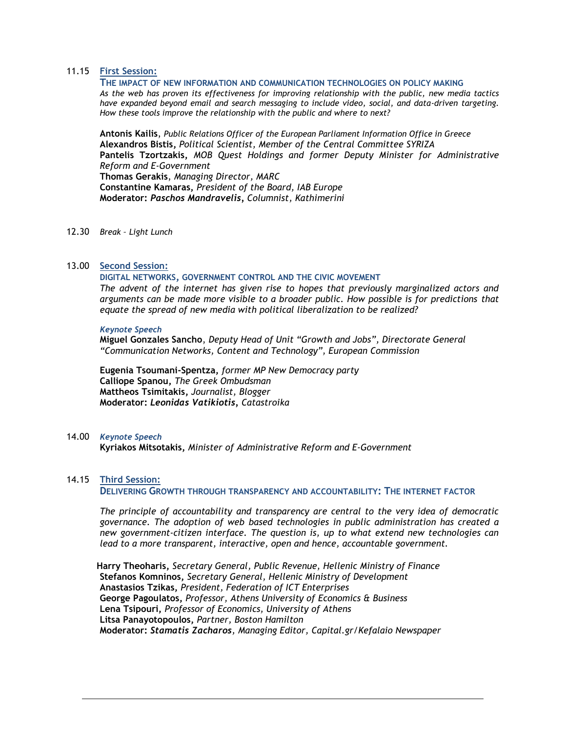## 11.15 **First Session:**

**THE IMPACT OF NEW INFORMATION AND COMMUNICATION TECHNOLOGIES ON POLICY MAKING** *As the web has proven its effectiveness for improving relationship with the public, new media tactics have expanded beyond email and search messaging to include video, social, and data-driven targeting. How these tools improve the relationship with the public and where to next?*

**Antonis Kailis**, *Public Relations Officer of the European Parliament Information Office in Greece* **Alexandros Bistis,** *Political Scientist, Member of the Central Committee SYRIZA* **Pantelis Tzortzakis,** *MOB Quest Holdings and former Deputy Minister for Administrative Reform and E-Government*  **Thomas Gerakis**, *Managing Director, MARC* **Constantine Kamaras,** *President of the Board, IAB Europe* **Moderator:** *Paschos Mandravelis, Columnist, Kathimerini*

12.30 *Break – Light Lunch*

### 13.00 **Second Session:**

**DIGITAL NETWORKS, GOVERNMENT CONTROL AND THE CIVIC MOVEMENT**

*The advent of the internet has given rise to hopes that previously marginalized actors and arguments can be made more visible to a broader public. How possible is for predictions that equate the spread of new media with political liberalization to be realized?*

#### *Keynote Speech*

**Miguel Gonzales Sancho**, *Deputy Head of Unit "Growth and Jobs", Directorate General "Communication Networks, Content and Technology", European Commission* 

**Eugenia Tsoumani-Spentza,** *former MP New Democracy party* **Calliope Spanou,** *The Greek Ombudsman* **Mattheos Tsimitakis,** *Journalist, Blogger* **Moderator:** *Leonidas Vatikiotis, Catastroika*

14.00 *Keynote Speech*

**Kyriakos Mitsotakis,** *Minister of Administrative Reform and E-Government*

## 14.15 **Third Session:**

**DELIVERING GROWTH THROUGH TRANSPARENCY AND ACCOUNTABILITY: THE INTERNET FACTOR**

*The principle of accountability and transparency are central to the very idea of democratic governance. The adoption of web based technologies in public administration has created a new government-citizen interface. The question is, up to what extend new technologies can lead to a more transparent, interactive, open and hence, accountable government.*

 **Harry Theoharis,** *Secretary General, Public Revenue, Hellenic Ministry of Finance* **Stefanos Komninos,** *Secretary General, Hellenic Ministry of Development* **Anastasios Tzikas,** *President, Federation of ICT Enterprises* **George Pagoulatos,** *Professor, Athens University of Economics & Business* **Lena Tsipouri,** *Professor of Economics, University of Athens* **Litsa Panayotopoulos,** *Partner, Boston Hamilton* **Moderator:** *Stamatis Zacharos, Managing Editor, Capital.gr/Kefalaio Newspaper*